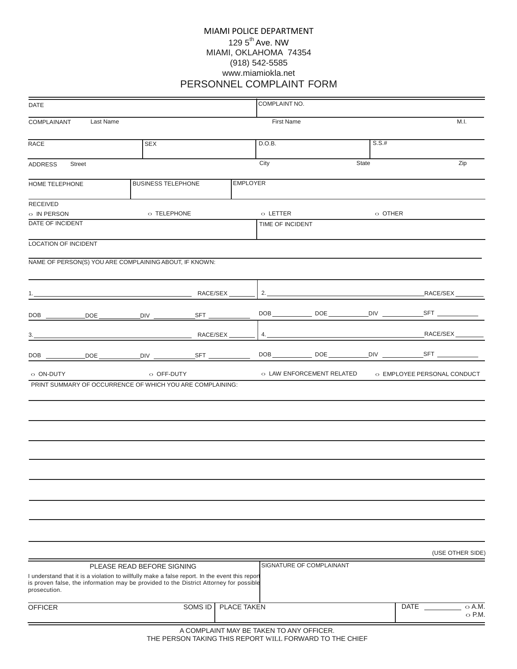## MIAMI POLICE DEPARTMENT 129 5<sup>th</sup> Ave. NW MIAMI, OKLAHOMA 74354 (918) 542-5585 [www.miamiokla.net](http://www.tcso.org/) PERSONNEL COMPLAINT FORM

| <b>DATE</b>                                                                                                                                                                                              |                            |                                         |                 | COMPLAINT NO.    |                          |          |                                                       |
|----------------------------------------------------------------------------------------------------------------------------------------------------------------------------------------------------------|----------------------------|-----------------------------------------|-----------------|------------------|--------------------------|----------|-------------------------------------------------------|
| <b>COMPLAINANT</b><br>Last Name                                                                                                                                                                          |                            |                                         |                 | First Name       |                          |          | M.I.                                                  |
| RACE                                                                                                                                                                                                     | SEX                        |                                         |                 | D.O.B.           |                          | $S.S.$ # |                                                       |
| ADDRESS<br><b>Street</b>                                                                                                                                                                                 |                            |                                         | City            |                  | State                    | Zip      |                                                       |
| HOME TELEPHONE                                                                                                                                                                                           | <b>BUSINESS TELEPHONE</b>  |                                         | <b>EMPLOYER</b> |                  |                          |          |                                                       |
| RECEIVED<br>$\circ$ IN PERSON                                                                                                                                                                            | o TELEPHONE                |                                         |                 | o LETTER         |                          | o OTHER  |                                                       |
| DATE OF INCIDENT                                                                                                                                                                                         |                            |                                         |                 | TIME OF INCIDENT |                          |          |                                                       |
| LOCATION OF INCIDENT                                                                                                                                                                                     |                            |                                         |                 |                  |                          |          |                                                       |
| NAME OF PERSON(S) YOU ARE COMPLAINING ABOUT, IF KNOWN:                                                                                                                                                   |                            |                                         |                 |                  |                          |          |                                                       |
|                                                                                                                                                                                                          |                            | RACE/SEX                                |                 |                  |                          |          |                                                       |
|                                                                                                                                                                                                          |                            |                                         |                 |                  |                          |          |                                                       |
|                                                                                                                                                                                                          |                            |                                         |                 |                  |                          |          |                                                       |
| DOB _____________DOE ______________DIV ___________________SFT ______________                                                                                                                             |                            |                                         |                 |                  |                          |          |                                                       |
| o ON-DUTY                                                                                                                                                                                                | o OFF-DUTY                 |                                         |                 |                  |                          |          | O LAW ENFORCEMENT RELATED O EMPLOYEE PERSONAL CONDUCT |
| PRINT SUMMARY OF OCCURRENCE OF WHICH YOU ARE COMPLAINING:                                                                                                                                                |                            |                                         |                 |                  |                          |          |                                                       |
|                                                                                                                                                                                                          |                            |                                         |                 |                  |                          |          |                                                       |
|                                                                                                                                                                                                          |                            |                                         |                 |                  |                          |          |                                                       |
|                                                                                                                                                                                                          |                            |                                         |                 |                  |                          |          |                                                       |
|                                                                                                                                                                                                          |                            |                                         |                 |                  |                          |          |                                                       |
|                                                                                                                                                                                                          |                            |                                         |                 |                  |                          |          |                                                       |
|                                                                                                                                                                                                          |                            |                                         |                 |                  |                          |          |                                                       |
|                                                                                                                                                                                                          |                            |                                         |                 |                  |                          |          |                                                       |
|                                                                                                                                                                                                          |                            |                                         |                 |                  |                          |          | (USE OTHER SIDE)                                      |
|                                                                                                                                                                                                          | PLEASE READ BEFORE SIGNING |                                         |                 |                  | SIGNATURE OF COMPLAINANT |          |                                                       |
| I understand that it is a violation to willfully make a false report. In the event this report<br>is proven false, the information may be provided to the District Attorney for possible<br>prosecution. |                            |                                         |                 |                  |                          |          |                                                       |
| <b>OFFICER</b>                                                                                                                                                                                           |                            | <b>SOMS ID</b>                          | PLACE TAKEN     |                  |                          |          | <b>DATE</b><br>$\circ$ A.M.<br>$\circ$ P.M.           |
|                                                                                                                                                                                                          |                            | A COMPLAINT MAY BE TAKEN TO ANY OFFICED |                 |                  |                          |          |                                                       |